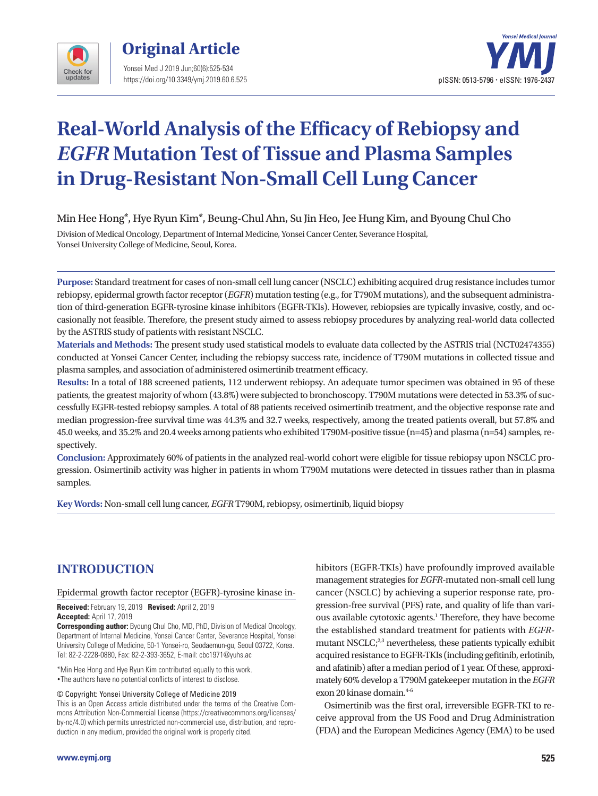



# **Real-World Analysis of the Efficacy of Rebiopsy and** *EGFR* **Mutation Test of Tissue and Plasma Samples in Drug-Resistant Non-Small Cell Lung Cancer**

Min Hee Hong\*, Hye Ryun Kim\*, Beung-Chul Ahn, Su Jin Heo, Jee Hung Kim, and Byoung Chul Cho

Division of Medical Oncology, Department of Internal Medicine, Yonsei Cancer Center, Severance Hospital, Yonsei University College of Medicine, Seoul, Korea.

**Purpose:** Standard treatment for cases of non-small cell lung cancer (NSCLC) exhibiting acquired drug resistance includes tumor rebiopsy, epidermal growth factor receptor (*EGFR*) mutation testing (e.g., for T790M mutations), and the subsequent administration of third-generation EGFR-tyrosine kinase inhibitors (EGFR-TKIs). However, rebiopsies are typically invasive, costly, and occasionally not feasible. Therefore, the present study aimed to assess rebiopsy procedures by analyzing real-world data collected by the ASTRIS study of patients with resistant NSCLC.

**Materials and Methods:** The present study used statistical models to evaluate data collected by the ASTRIS trial (NCT02474355) conducted at Yonsei Cancer Center, including the rebiopsy success rate, incidence of T790M mutations in collected tissue and plasma samples, and association of administered osimertinib treatment efficacy.

**Results:** In a total of 188 screened patients, 112 underwent rebiopsy. An adequate tumor specimen was obtained in 95 of these patients, the greatest majority of whom (43.8%) were subjected to bronchoscopy. T790M mutations were detected in 53.3% of successfully EGFR-tested rebiopsy samples. A total of 88 patients received osimertinib treatment, and the objective response rate and median progression-free survival time was 44.3% and 32.7 weeks, respectively, among the treated patients overall, but 57.8% and 45.0 weeks, and 35.2% and 20.4 weeks among patients who exhibited T790M-positive tissue (n=45) and plasma (n=54) samples, respectively.

**Conclusion:** Approximately 60% of patients in the analyzed real-world cohort were eligible for tissue rebiopsy upon NSCLC progression. Osimertinib activity was higher in patients in whom T790M mutations were detected in tissues rather than in plasma samples.

**Key Words:** Non-small cell lung cancer, *EGFR* T790M, rebiopsy, osimertinib, liquid biopsy

# **INTRODUCTION**

## Epidermal growth factor receptor (EGFR)-tyrosine kinase in-

**Received:** February 19, 2019 **Revised:** April 2, 2019 **Accepted:** April 17, 2019

**Corresponding author:** Byoung Chul Cho, MD, PhD, Division of Medical Oncology, Department of Internal Medicine, Yonsei Cancer Center, Severance Hospital, Yonsei University College of Medicine, 50-1 Yonsei-ro, Seodaemun-gu, Seoul 03722, Korea. Tel: 82-2-2228-0880, Fax: 82-2-393-3652, E-mail: cbc1971@yuhs.ac

\*Min Hee Hong and Hye Ryun Kim contributed equally to this work. •The authors have no potential conflicts of interest to disclose.

© Copyright: Yonsei University College of Medicine 2019

This is an Open Access article distributed under the terms of the Creative Commons Attribution Non-Commercial License (https://creativecommons.org/licenses/ by-nc/4.0) which permits unrestricted non-commercial use, distribution, and reproduction in any medium, provided the original work is properly cited.

hibitors (EGFR-TKIs) have profoundly improved available management strategies for *EGFR*-mutated non-small cell lung cancer (NSCLC) by achieving a superior response rate, progression-free survival (PFS) rate, and quality of life than various available cytotoxic agents.<sup>1</sup> Therefore, they have become the established standard treatment for patients with *EGFR*mutant NSCLC; $^{2,3}$  nevertheless, these patients typically exhibit acquired resistance to EGFR-TKIs (including gefitinib, erlotinib, and afatinib) after a median period of 1 year. Of these, approximately 60% develop a T790M gatekeeper mutation in the *EGFR* exon 20 kinase domain.<sup>4-6</sup>

Osimertinib was the first oral, irreversible EGFR-TKI to receive approval from the US Food and Drug Administration (FDA) and the European Medicines Agency (EMA) to be used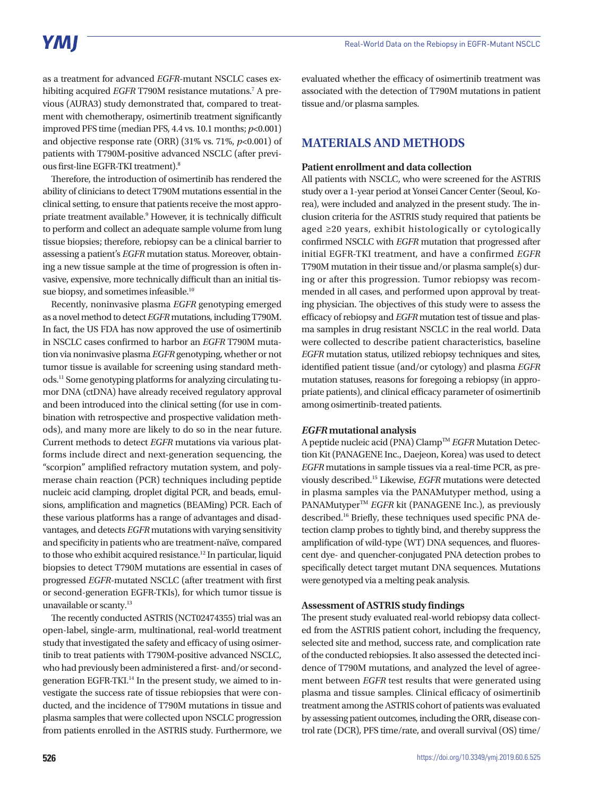as a treatment for advanced *EGFR*-mutant NSCLC cases exhibiting acquired EGFR T790M resistance mutations.<sup>7</sup> A previous (AURA3) study demonstrated that, compared to treatment with chemotherapy, osimertinib treatment significantly improved PFS time (median PFS, 4.4 vs. 10.1 months; *p*<0.001) and objective response rate (ORR) (31% vs. 71%, *p*<0.001) of patients with T790M-positive advanced NSCLC (after previous first-line EGFR-TKI treatment).8

Therefore, the introduction of osimertinib has rendered the ability of clinicians to detect T790M mutations essential in the clinical setting, to ensure that patients receive the most appropriate treatment available.<sup>9</sup> However, it is technically difficult to perform and collect an adequate sample volume from lung tissue biopsies; therefore, rebiopsy can be a clinical barrier to assessing a patient's *EGFR* mutation status. Moreover, obtaining a new tissue sample at the time of progression is often invasive, expensive, more technically difficult than an initial tissue biopsy, and sometimes infeasible.<sup>10</sup>

Recently, noninvasive plasma *EGFR* genotyping emerged as a novel method to detect *EGFR* mutations, including T790M. In fact, the US FDA has now approved the use of osimertinib in NSCLC cases confirmed to harbor an *EGFR* T790M mutation via noninvasive plasma *EGFR* genotyping, whether or not tumor tissue is available for screening using standard methods.11 Some genotyping platforms for analyzing circulating tumor DNA (ctDNA) have already received regulatory approval and been introduced into the clinical setting (for use in combination with retrospective and prospective validation methods), and many more are likely to do so in the near future. Current methods to detect *EGFR* mutations via various platforms include direct and next-generation sequencing, the "scorpion" amplified refractory mutation system, and polymerase chain reaction (PCR) techniques including peptide nucleic acid clamping, droplet digital PCR, and beads, emulsions, amplification and magnetics (BEAMing) PCR. Each of these various platforms has a range of advantages and disadvantages, and detects *EGFR* mutations with varying sensitivity and specificity in patients who are treatment-naïve, compared to those who exhibit acquired resistance.<sup>12</sup> In particular, liquid biopsies to detect T790M mutations are essential in cases of progressed *EGFR*-mutated NSCLC (after treatment with first or second-generation EGFR-TKIs), for which tumor tissue is unavailable or scanty.<sup>13</sup>

The recently conducted ASTRIS (NCT02474355) trial was an open-label, single-arm, multinational, real-world treatment study that investigated the safety and efficacy of using osimertinib to treat patients with T790M-positive advanced NSCLC, who had previously been administered a first- and/or secondgeneration EGFR-TKI.<sup>14</sup> In the present study, we aimed to investigate the success rate of tissue rebiopsies that were conducted, and the incidence of T790M mutations in tissue and plasma samples that were collected upon NSCLC progression from patients enrolled in the ASTRIS study. Furthermore, we

evaluated whether the efficacy of osimertinib treatment was associated with the detection of T790M mutations in patient tissue and/or plasma samples.

# **MATERIALS AND METHODS**

#### **Patient enrollment and data collection**

All patients with NSCLC, who were screened for the ASTRIS study over a 1-year period at Yonsei Cancer Center (Seoul, Korea), were included and analyzed in the present study. The inclusion criteria for the ASTRIS study required that patients be aged ≥20 years, exhibit histologically or cytologically confirmed NSCLC with *EGFR* mutation that progressed after initial EGFR-TKI treatment, and have a confirmed *EGFR* T790M mutation in their tissue and/or plasma sample(s) during or after this progression. Tumor rebiopsy was recommended in all cases, and performed upon approval by treating physician. The objectives of this study were to assess the efficacy of rebiopsy and *EGFR* mutation test of tissue and plasma samples in drug resistant NSCLC in the real world. Data were collected to describe patient characteristics, baseline *EGFR* mutation status, utilized rebiopsy techniques and sites, identified patient tissue (and/or cytology) and plasma *EGFR* mutation statuses, reasons for foregoing a rebiopsy (in appropriate patients), and clinical efficacy parameter of osimertinib among osimertinib-treated patients.

#### *EGFR* **mutational analysis**

A peptide nucleic acid (PNA) ClampTM *EGFR* Mutation Detection Kit (PANAGENE Inc., Daejeon, Korea) was used to detect *EGFR* mutations in sample tissues via a real-time PCR, as previously described.15 Likewise, *EGFR* mutations were detected in plasma samples via the PANAMutyper method, using a PANAMutyper<sup>™</sup> *EGFR* kit (PANAGENE Inc.), as previously described.16 Briefly, these techniques used specific PNA detection clamp probes to tightly bind, and thereby suppress the amplification of wild-type (WT) DNA sequences, and fluorescent dye- and quencher-conjugated PNA detection probes to specifically detect target mutant DNA sequences. Mutations were genotyped via a melting peak analysis.

#### **Assessment of ASTRIS study findings**

The present study evaluated real-world rebiopsy data collected from the ASTRIS patient cohort, including the frequency, selected site and method, success rate, and complication rate of the conducted rebiopsies. It also assessed the detected incidence of T790M mutations, and analyzed the level of agreement between *EGFR* test results that were generated using plasma and tissue samples. Clinical efficacy of osimertinib treatment among the ASTRIS cohort of patients was evaluated by assessing patient outcomes, including the ORR, disease control rate (DCR), PFS time/rate, and overall survival (OS) time/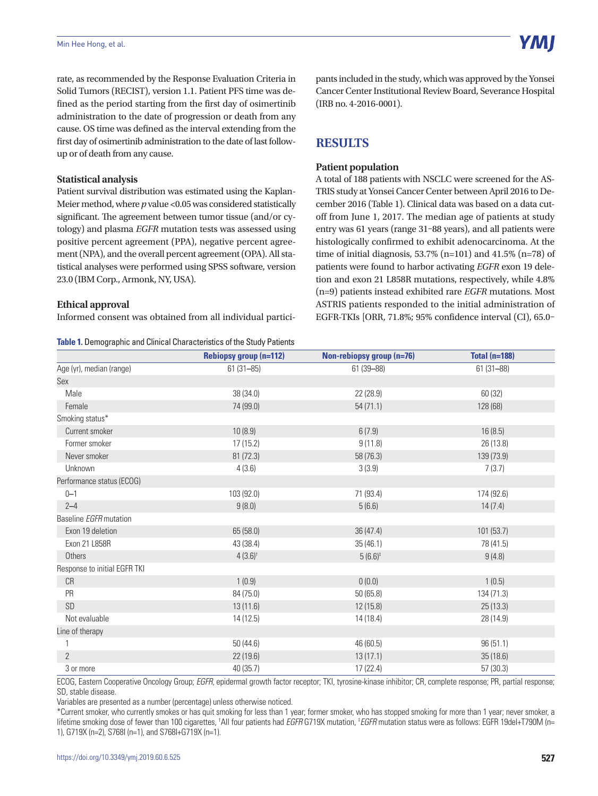rate, as recommended by the Response Evaluation Criteria in Solid Tumors (RECIST), version 1.1. Patient PFS time was defined as the period starting from the first day of osimertinib administration to the date of progression or death from any cause. OS time was defined as the interval extending from the first day of osimertinib administration to the date of last followup or of death from any cause.

#### **Statistical analysis**

Patient survival distribution was estimated using the Kaplan-Meier method, where *p* value <0.05 was considered statistically significant. The agreement between tumor tissue (and/or cytology) and plasma *EGFR* mutation tests was assessed using positive percent agreement (PPA), negative percent agreement (NPA), and the overall percent agreement (OPA). All statistical analyses were performed using SPSS software, version 23.0 (IBM Corp., Armonk, NY, USA).

#### **Ethical approval**

Informed consent was obtained from all individual partici-

**Table 1.** Demographic and Clinical Characteristics of the Study Patients

pants included in the study, which was approved by the Yonsei Cancer Center Institutional Review Board, Severance Hospital (IRB no. 4-2016-0001).

## **RESULTS**

#### **Patient population**

A total of 188 patients with NSCLC were screened for the AS-TRIS study at Yonsei Cancer Center between April 2016 to December 2016 (Table 1). Clinical data was based on a data cutoff from June 1, 2017. The median age of patients at study entry was 61 years (range 31–88 years), and all patients were histologically confirmed to exhibit adenocarcinoma. At the time of initial diagnosis,  $53.7\%$  (n=101) and  $41.5\%$  (n=78) of patients were found to harbor activating *EGFR* exon 19 deletion and exon 21 L858R mutations, respectively, while 4.8% (n=9) patients instead exhibited rare *EGFR* mutations. Most ASTRIS patients responded to the initial administration of EGFR-TKIs [ORR, 71.8%; 95% confidence interval (CI), 65.0–

|                               | <b>Rebiopsy group (n=112)</b> | Non-rebiopsy group (n=76) | <b>Total (n=188)</b> |
|-------------------------------|-------------------------------|---------------------------|----------------------|
| Age (yr), median (range)      | $61(31 - 85)$                 | 61 (39-88)                | $61(31 - 88)$        |
| Sex                           |                               |                           |                      |
| Male                          | 38 (34.0)                     | 22 (28.9)                 | 60 (32)              |
| Female                        | 74 (99.0)                     | 54(71.1)                  | 128 (68)             |
| Smoking status*               |                               |                           |                      |
| Current smoker                | 10(8.9)                       | 6(7.9)                    | 16(8.5)              |
| Former smoker                 | 17(15.2)                      | 9(11.8)                   | 26 (13.8)            |
| Never smoker                  | 81 (72.3)                     | 58 (76.3)                 | 139 (73.9)           |
| Unknown                       | 4(3.6)                        | 3(3.9)                    | 7(3.7)               |
| Performance status (ECOG)     |                               |                           |                      |
| $0 - 1$                       | 103 (92.0)                    | 71 (93.4)                 | 174 (92.6)           |
| $2 - 4$                       | 9(8.0)                        | 5(6.6)                    | 14(7.4)              |
| Baseline <b>EGFR</b> mutation |                               |                           |                      |
| Exon 19 deletion              | 65 (58.0)                     | 36 (47.4)                 | 101 (53.7)           |
| Exon 21 L858R                 | 43 (38.4)                     | 35(46.1)                  | 78 (41.5)            |
| Others                        | $4(3.6)^{t}$                  | $5(6.6)^*$                | 9(4.8)               |
| Response to initial EGFR TKI  |                               |                           |                      |
| CR                            | 1(0.9)                        | 0(0.0)                    | 1(0.5)               |
| PR                            | 84 (75.0)                     | 50(65.8)                  | 134 (71.3)           |
| <b>SD</b>                     | 13(11.6)                      | 12(15.8)                  | 25(13.3)             |
| Not evaluable                 | 14(12.5)                      | 14 (18.4)                 | 28 (14.9)            |
| Line of therapy               |                               |                           |                      |
|                               | 50(44.6)                      | 46 (60.5)                 | 96(51.1)             |
| $\overline{2}$                | 22 (19.6)                     | 13(17.1)                  | 35(18.6)             |
| 3 or more                     | 40 (35.7)                     | 17 (22.4)                 | 57(30.3)             |

ECOG, Eastern Cooperative Oncology Group; *EGFR*, epidermal growth factor receptor; TKI, tyrosine-kinase inhibitor; CR, complete response; PR, partial response; SD, stable disease.

Variables are presented as a number (percentage) unless otherwise noticed.

\*Current smoker, who currently smokes or has quit smoking for less than 1 year; former smoker, who has stopped smoking for more than 1 year; never smoker, a lifetime smoking dose of fewer than 100 cigarettes, †All four patients had *EGFR* G719X mutation, ‡*EGFR* mutation status were as follows: EGFR 19del+T790M (n= 1), G719X (n=2), S768I (n=1), and S768I+G719X (n=1).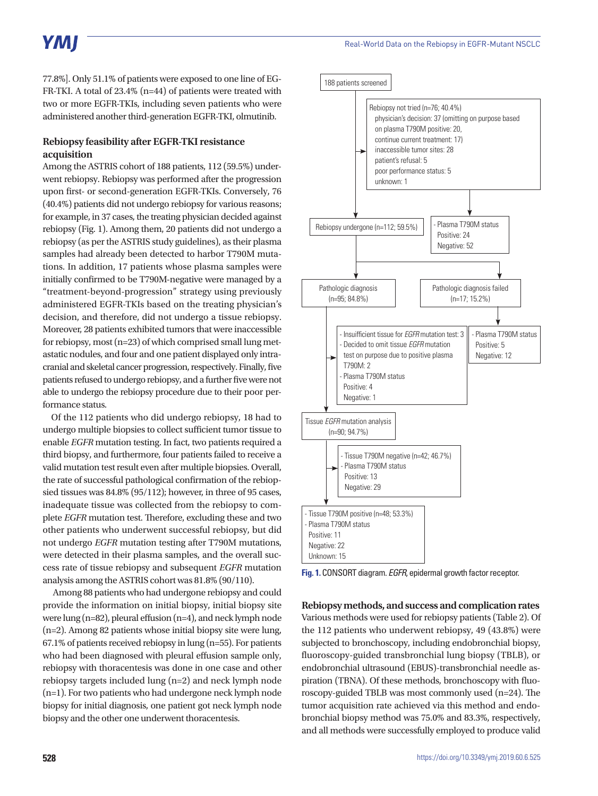77.8%]. Only 51.1% of patients were exposed to one line of EG-FR-TKI. A total of 23.4% (n=44) of patients were treated with two or more EGFR-TKIs, including seven patients who were administered another third-generation EGFR-TKI, olmutinib.

## **Rebiopsy feasibility after EGFR-TKI resistance acquisition**

Among the ASTRIS cohort of 188 patients, 112 (59.5%) underwent rebiopsy. Rebiopsy was performed after the progression upon first- or second-generation EGFR-TKIs. Conversely, 76 (40.4%) patients did not undergo rebiopsy for various reasons; for example, in 37 cases, the treating physician decided against rebiopsy (Fig. 1). Among them, 20 patients did not undergo a rebiopsy (as per the ASTRIS study guidelines), as their plasma samples had already been detected to harbor T790M mutations. In addition, 17 patients whose plasma samples were initially confirmed to be T790M-negative were managed by a "treatment-beyond-progression" strategy using previously administered EGFR-TKIs based on the treating physician's decision, and therefore, did not undergo a tissue rebiopsy. Moreover, 28 patients exhibited tumors that were inaccessible for rebiopsy, most (n=23) of which comprised small lung metastatic nodules, and four and one patient displayed only intracranial and skeletal cancer progression, respectively. Finally, five patients refused to undergo rebiopsy, and a further five were not able to undergo the rebiopsy procedure due to their poor performance status.

Of the 112 patients who did undergo rebiopsy, 18 had to undergo multiple biopsies to collect sufficient tumor tissue to enable *EGFR* mutation testing. In fact, two patients required a third biopsy, and furthermore, four patients failed to receive a valid mutation test result even after multiple biopsies. Overall, the rate of successful pathological confirmation of the rebiopsied tissues was 84.8% (95/112); however, in three of 95 cases, inadequate tissue was collected from the rebiopsy to complete *EGFR* mutation test. Therefore, excluding these and two other patients who underwent successful rebiopsy, but did not undergo *EGFR* mutation testing after T790M mutations, were detected in their plasma samples, and the overall success rate of tissue rebiopsy and subsequent *EGFR* mutation analysis among the ASTRIS cohort was 81.8% (90/110).

 Among 88 patients who had undergone rebiopsy and could provide the information on initial biopsy, initial biopsy site were lung (n=82), pleural effusion (n=4), and neck lymph node (n=2). Among 82 patients whose initial biopsy site were lung, 67.1% of patients received rebiopsy in lung (n=55). For patients who had been diagnosed with pleural effusion sample only, rebiopsy with thoracentesis was done in one case and other rebiopsy targets included lung (n=2) and neck lymph node (n=1). For two patients who had undergone neck lymph node biopsy for initial diagnosis, one patient got neck lymph node biopsy and the other one underwent thoracentesis.



**Fig. 1.** CONSORT diagram. *EGFR*, epidermal growth factor receptor.

**Rebiopsy methods, and success and complication rates** Various methods were used for rebiopsy patients (Table 2). Of the 112 patients who underwent rebiopsy, 49 (43.8%) were subjected to bronchoscopy, including endobronchial biopsy, fluoroscopy-guided transbronchial lung biopsy (TBLB), or endobronchial ultrasound (EBUS)-transbronchial needle aspiration (TBNA). Of these methods, bronchoscopy with fluoroscopy-guided TBLB was most commonly used (n=24). The tumor acquisition rate achieved via this method and endobronchial biopsy method was 75.0% and 83.3%, respectively, and all methods were successfully employed to produce valid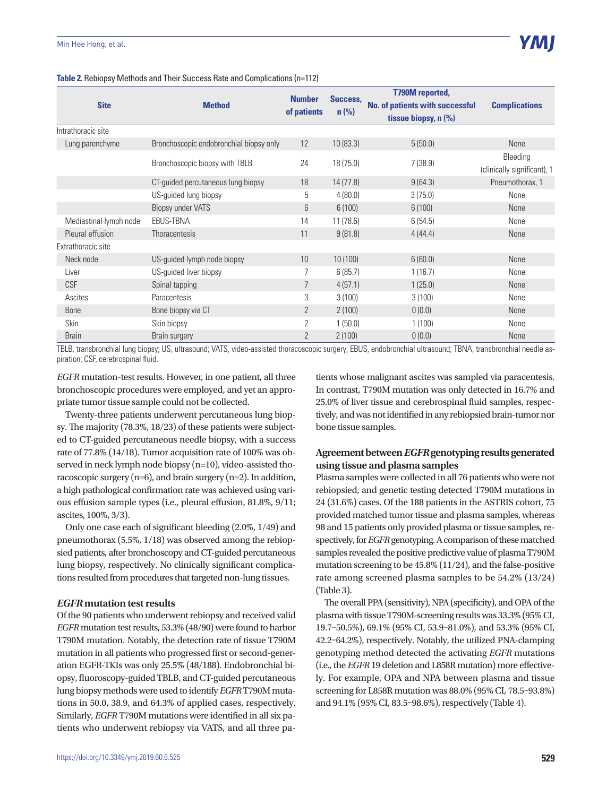#### Min Hee Hong, et al.

| Table 2. Rebiopsy Methods and Their Success Rate and Complications (n=112) |  |  |  |  |  |  |
|----------------------------------------------------------------------------|--|--|--|--|--|--|
|----------------------------------------------------------------------------|--|--|--|--|--|--|

|                        |                                         |                              |                     | <b>T790M</b> reported,                 |                             |
|------------------------|-----------------------------------------|------------------------------|---------------------|----------------------------------------|-----------------------------|
| <b>Site</b>            | <b>Method</b>                           | <b>Number</b><br>of patients | Success,<br>$n$ (%) | <b>No. of patients with successful</b> | <b>Complications</b>        |
|                        |                                         |                              |                     | tissue biopsy, $n$ $(\%)$              |                             |
| Intrathoracic site     |                                         |                              |                     |                                        |                             |
| Lung parenchyme        | Bronchoscopic endobronchial biopsy only | 12                           | 10(83.3)            | 5(50.0)                                | <b>None</b>                 |
|                        |                                         |                              |                     |                                        | Bleeding                    |
|                        | Bronchoscopic biopsy with TBLB          | 24                           | 18(75.0)            | 7(38.9)                                | (clinically significant), 1 |
|                        | CT-guided percutaneous lung biopsy      | 18                           | 14(77.8)            | 9(64.3)                                | Pneumothorax, 1             |
|                        | US-guided lung biopsy                   | 5                            | 4(80.0)             | 3(75.0)                                | None                        |
|                        | Biopsy under VATS                       | 6                            | 6(100)              | 6(100)                                 | None                        |
| Mediastinal lymph node | <b>EBUS-TBNA</b>                        | 14                           | 11(78.6)            | 6(54.5)                                | None                        |
| Pleural effusion       | Thoracentesis                           | 11                           | 9(81.8)             | 4(44.4)                                | None                        |
| Extrathoracic site     |                                         |                              |                     |                                        |                             |
| Neck node              | US-guided lymph node biopsy             | 10                           | 10(100)             | 6(60.0)                                | None                        |
| Liver                  | US-guided liver biopsy                  |                              | 6(85.7)             | 1(16.7)                                | None                        |
| <b>CSF</b>             | Spinal tapping                          | $\overline{7}$               | 4(57.1)             | 1(25.0)                                | None                        |
| Ascites                | Paracentesis                            | 3                            | 3(100)              | 3(100)                                 | None                        |
| <b>Bone</b>            | Bone biopsy via CT                      | $\overline{2}$               | 2(100)              | 0(0.0)                                 | None                        |
| Skin                   | Skin biopsy                             | 2                            | 1(50.0)             | 1(100)                                 | None                        |
| <b>Brain</b>           | Brain surgery                           | $\overline{2}$               | 2(100)              | 0(0.0)                                 | None                        |

TBLB, transbronchial lung biopsy; US, ultrasound; VATS, video-assisted thoracoscopic surgery; EBUS, endobronchial ultrasound; TBNA, transbronchial needle aspiration; CSF, cerebrospinal fluid.

*EGFR* mutation-test results. However, in one patient, all three bronchoscopic procedures were employed, and yet an appropriate tumor tissue sample could not be collected.

Twenty-three patients underwent percutaneous lung biopsy. The majority (78.3%, 18/23) of these patients were subjected to CT-guided percutaneous needle biopsy, with a success rate of 77.8% (14/18). Tumor acquisition rate of 100% was observed in neck lymph node biopsy (n=10), video-assisted thoracoscopic surgery (n=6), and brain surgery (n=2). In addition, a high pathological confirmation rate was achieved using various effusion sample types (i.e., pleural effusion, 81.8%, 9/11; ascites, 100%, 3/3).

Only one case each of significant bleeding (2.0%, 1/49) and pneumothorax (5.5%, 1/18) was observed among the rebiopsied patients, after bronchoscopy and CT-guided percutaneous lung biopsy, respectively. No clinically significant complications resulted from procedures that targeted non-lung tissues.

### *EGFR* **mutation test results**

Of the 90 patients who underwent rebiopsy and received valid *EGFR* mutation test results, 53.3% (48/90) were found to harbor T790M mutation. Notably, the detection rate of tissue T790M mutation in all patients who progressed first or second-generation EGFR-TKIs was only 25.5% (48/188). Endobronchial biopsy, fluoroscopy-guided TBLB, and CT-guided percutaneous lung biopsy methods were used to identify *EGFR* T790M mutations in 50.0, 38.9, and 64.3% of applied cases, respectively. Similarly, *EGFR* T790M mutations were identified in all six patients who underwent rebiopsy via VATS, and all three patients whose malignant ascites was sampled via paracentesis. In contrast, T790M mutation was only detected in 16.7% and 25.0% of liver tissue and cerebrospinal fluid samples, respectively, and was not identified in any rebiopsied brain-tumor nor bone tissue samples.

## **Agreement between** *EGFR* **genotyping results generated using tissue and plasma samples**

Plasma samples were collected in all 76 patients who were not rebiopsied, and genetic testing detected T790M mutations in 24 (31.6%) cases. Of the 188 patients in the ASTRIS cohort, 75 provided matched tumor tissue and plasma samples, whereas 98 and 15 patients only provided plasma or tissue samples, respectively, for *EGFR* genotyping. A comparison of these matched samples revealed the positive predictive value of plasma T790M mutation screening to be 45.8% (11/24), and the false-positive rate among screened plasma samples to be 54.2% (13/24) (Table 3).

The overall PPA (sensitivity), NPA (specificity), and OPA of the plasma with tissue T790M-screening results was 33.3% (95% CI, 19.7–50.5%), 69.1% (95% CI, 53.9–81.0%), and 53.3% (95% CI, 42.2–64.2%), respectively. Notably, the utilized PNA-clamping genotyping method detected the activating *EGFR* mutations (i.e., the *EGFR* 19 deletion and L858R mutation) more effectively. For example, OPA and NPA between plasma and tissue screening for L858R mutation was 88.0% (95% CI, 78.5–93.8%) and 94.1% (95% CI, 83.5–98.6%), respectively (Table 4).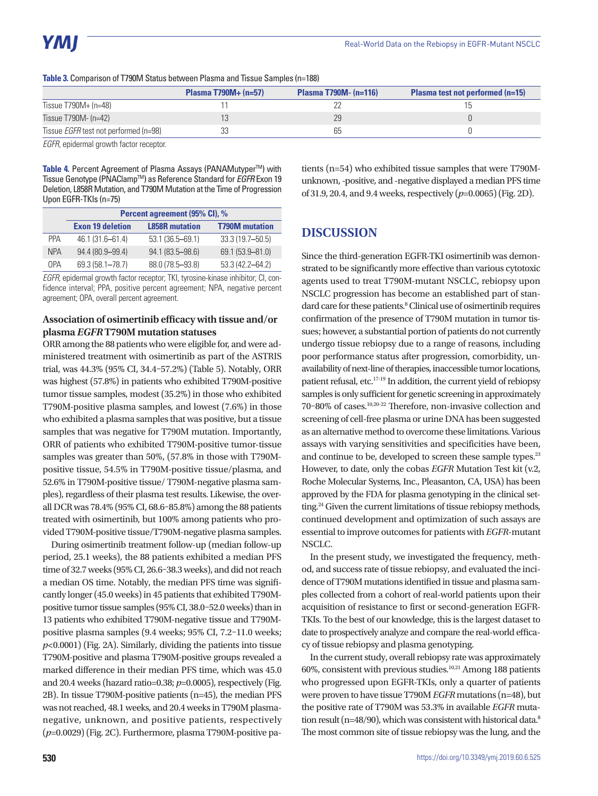**Table 3.** Comparison of T790M Status between Plasma and Tissue Samples (n=188)

|                                              | Plasma $T790M + (n=57)$ | <b>Plasma T790M- <math>(n=116)</math></b> | <b>Plasma test not performed (n=15)</b> |
|----------------------------------------------|-------------------------|-------------------------------------------|-----------------------------------------|
| Tissue $T790M + (n=48)$                      |                         |                                           |                                         |
| Tissue T790M- (n=42)                         |                         | 29                                        |                                         |
| Tissue <i>EGFR</i> test not performed (n=98) |                         | 65                                        |                                         |

*EGFR*, epidermal growth factor receptor.

Table 4. Percent Agreement of Plasma Assays (PANAMutyper<sup>™)</sup> with Tissue Genotype (PNAClampTM) as Reference Standard for *EGFR* Exon 19 Deletion, L858R Mutation, and T790M Mutation at the Time of Progression Upon EGFR-TKIs (n=75)

|            | Percent agreement (95% CI), % |                       |                       |  |  |  |
|------------|-------------------------------|-----------------------|-----------------------|--|--|--|
|            | <b>Exon 19 deletion</b>       | <b>L858R</b> mutation | <b>T790M</b> mutation |  |  |  |
| <b>PPA</b> | 46.1 (31.6-61.4)              | 53.1 (36.5–69.1)      | 33.3 (19.7-50.5)      |  |  |  |
| <b>NPA</b> | 94.4 (80.9-99.4)              | 94.1 (83.5-98.6)      | 69.1 (53.9-81.0)      |  |  |  |
| <b>OPA</b> | 69.3 (58.1-78.7)              | 88.0 (78.5-93.8)      | 53.3 (42.2-64.2)      |  |  |  |

*EGFR*, epidermal growth factor receptor; TKI, tyrosine-kinase inhibitor; CI, confidence interval; PPA, positive percent agreement; NPA, negative percent agreement; OPA, overall percent agreement.

## **Association of osimertinib efficacy with tissue and/or plasma** *EGFR* **T790M mutation statuses**

ORR among the 88 patients who were eligible for, and were administered treatment with osimertinib as part of the ASTRIS trial, was 44.3% (95% CI, 34.4–57.2%) (Table 5). Notably, ORR was highest (57.8%) in patients who exhibited T790M-positive tumor tissue samples, modest (35.2%) in those who exhibited T790M-positive plasma samples, and lowest (7.6%) in those who exhibited a plasma samples that was positive, but a tissue samples that was negative for T790M mutation. Importantly, ORR of patients who exhibited T790M-positive tumor-tissue samples was greater than 50%, (57.8% in those with T790Mpositive tissue, 54.5% in T790M-positive tissue/plasma, and 52.6% in T790M-positive tissue/ T790M-negative plasma samples), regardless of their plasma test results. Likewise, the overall DCR was 78.4% (95% CI, 68.6–85.8%) among the 88 patients treated with osimertinib, but 100% among patients who provided T790M-positive tissue/T790M-negative plasma samples.

During osimertinib treatment follow-up (median follow-up period, 25.1 weeks), the 88 patients exhibited a median PFS time of 32.7 weeks (95% CI, 26.6–38.3 weeks), and did not reach a median OS time. Notably, the median PFS time was significantly longer (45.0 weeks) in 45 patients that exhibited T790Mpositive tumor tissue samples (95% CI, 38.0–52.0 weeks) than in 13 patients who exhibited T790M-negative tissue and T790Mpositive plasma samples (9.4 weeks; 95% CI, 7.2–11.0 weeks;  $p<0.0001$ ) (Fig. 2A). Similarly, dividing the patients into tissue T790M-positive and plasma T790M-positive groups revealed a marked difference in their median PFS time, which was 45.0 and 20.4 weeks (hazard ratio=0.38; *p*=0.0005), respectively (Fig. 2B). In tissue T790M-positive patients (n=45), the median PFS was not reached, 48.1 weeks, and 20.4 weeks in T790M plasmanegative, unknown, and positive patients, respectively (*p*=0.0029) (Fig. 2C). Furthermore, plasma T790M-positive patients (n=54) who exhibited tissue samples that were T790Munknown, -positive, and -negative displayed a median PFS time of 31.9, 20.4, and 9.4 weeks, respectively (*p*=0.0065) (Fig. 2D).

# **DISCUSSION**

Since the third-generation EGFR-TKI osimertinib was demonstrated to be significantly more effective than various cytotoxic agents used to treat T790M-mutant NSCLC, rebiopsy upon NSCLC progression has become an established part of standard care for these patients.<sup>8</sup> Clinical use of osimertinib requires confirmation of the presence of T790M mutation in tumor tissues; however, a substantial portion of patients do not currently undergo tissue rebiopsy due to a range of reasons, including poor performance status after progression, comorbidity, unavailability of next-line of therapies, inaccessible tumor locations, patient refusal, etc.17-19 In addition, the current yield of rebiopsy samples is only sufficient for genetic screening in approximately 70–80% of cases.10,20-22 Therefore, non-invasive collection and screening of cell-free plasma or urine DNA has been suggested as an alternative method to overcome these limitations. Various assays with varying sensitivities and specificities have been, and continue to be, developed to screen these sample types.<sup>23</sup> However, to date, only the cobas *EGFR* Mutation Test kit (v.2, Roche Molecular Systems, Inc., Pleasanton, CA, USA) has been approved by the FDA for plasma genotyping in the clinical setting.<sup>24</sup> Given the current limitations of tissue rebiopsy methods, continued development and optimization of such assays are essential to improve outcomes for patients with *EGFR*-mutant NSCLC.

In the present study, we investigated the frequency, method, and success rate of tissue rebiopsy, and evaluated the incidence of T790M mutations identified in tissue and plasma samples collected from a cohort of real-world patients upon their acquisition of resistance to first or second-generation EGFR-TKIs. To the best of our knowledge, this is the largest dataset to date to prospectively analyze and compare the real-world efficacy of tissue rebiopsy and plasma genotyping.

In the current study, overall rebiopsy rate was approximately 60%, consistent with previous studies.10,21 Among 188 patients who progressed upon EGFR-TKIs, only a quarter of patients were proven to have tissue T790M *EGFR* mutations (n=48), but the positive rate of T790M was 53.3% in available *EGFR* mutation result (n=48/90), which was consistent with historical data.<sup>8</sup> The most common site of tissue rebiopsy was the lung, and the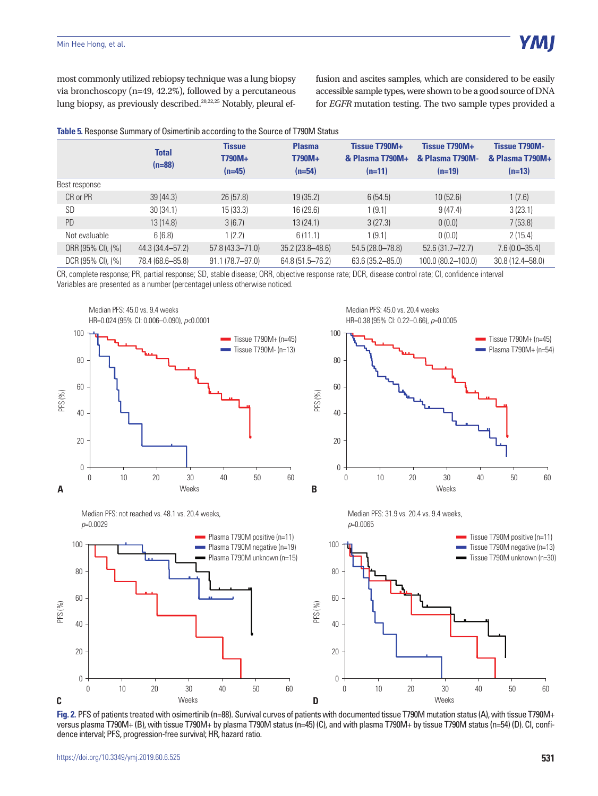most commonly utilized rebiopsy technique was a lung biopsy via bronchoscopy (n=49, 42.2%), followed by a percutaneous lung biopsy, as previously described.<sup>20,22,25</sup> Notably, pleural effusion and ascites samples, which are considered to be easily accessible sample types, were shown to be a good source of DNA for *EGFR* mutation testing. The two sample types provided a

|  | Table 5. Response Summary of Osimertinib according to the Source of T790M Status |  |  |
|--|----------------------------------------------------------------------------------|--|--|
|--|----------------------------------------------------------------------------------|--|--|

|                   | <b>Total</b><br>$(n=88)$ | <b>Tissue</b><br>T790M+<br>$(n=45)$ | <b>Plasma</b><br>T790M+<br>$(n=54)$ | Tissue T790M+<br>& Plasma T790M+<br>$(n=11)$ | Tissue T790M+<br>& Plasma T790M-<br>$(n=19)$ | <b>Tissue T790M-</b><br>& Plasma T790M+<br>$(n=13)$ |
|-------------------|--------------------------|-------------------------------------|-------------------------------------|----------------------------------------------|----------------------------------------------|-----------------------------------------------------|
| Best response     |                          |                                     |                                     |                                              |                                              |                                                     |
| CR or PR          | 39(44.3)                 | 26(57.8)                            | 19(35.2)                            | 6(54.5)                                      | 10(52.6)                                     | 1(7.6)                                              |
| SD                | 30(34.1)                 | 15(33.3)                            | 16 (29.6)                           | 1(9.1)                                       | 9(47.4)                                      | 3(23.1)                                             |
| <b>PD</b>         | 13 (14.8)                | 3(6.7)                              | 13(24.1)                            | 3(27.3)                                      | 0(0.0)                                       | 7(53.8)                                             |
| Not evaluable     | 6(6.8)                   | 1(2.2)                              | 6(11.1)                             | 1(9.1)                                       | 0(0.0)                                       | 2(15.4)                                             |
| ORR (95% CI), (%) | 44.3 (34.4–57.2)         | $57.8(43.3 - 71.0)$                 | $35.2(23.8 - 48.6)$                 | 54.5 (28.0–78.8)                             | $52.6(31.7 - 72.7)$                          | $7.6(0.0 - 35.4)$                                   |
| DCR (95% CI), (%) | 78.4 (68.6-85.8)         | 91.1 (78.7-97.0)                    | 64.8 (51.5-76.2)                    | 63.6 (35.2-85.0)                             | 100.0 (80.2-100.0)                           | 30.8 (12.4 - 58.0)                                  |

CR, complete response; PR, partial response; SD, stable disease; ORR, objective response rate; DCR, disease control rate; CI, confidence interval Variables are presented as a number (percentage) unless otherwise noticed.







Median PFS: 31.9 vs. 20.4 vs. 9.4 weeks, *p*=0.0065



Fig. 2. PFS of patients treated with osimertinib (n=88). Survival curves of patients with documented tissue T790M mutation status (A), with tissue T790M+ versus plasma T790M+ (B), with tissue T790M+ by plasma T790M status (n=45) (C), and with plasma T790M+ by tissue T790M status (n=54) (D). CI, confidence interval; PFS, progression-free survival; HR, hazard ratio.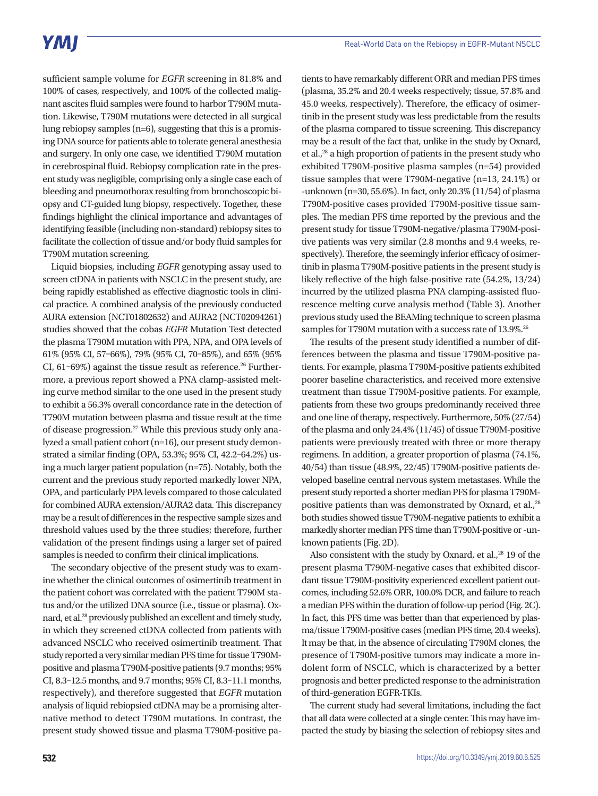sufficient sample volume for *EGFR* screening in 81.8% and 100% of cases, respectively, and 100% of the collected malignant ascites fluid samples were found to harbor T790M mutation. Likewise, T790M mutations were detected in all surgical lung rebiopsy samples (n=6), suggesting that this is a promising DNA source for patients able to tolerate general anesthesia and surgery. In only one case, we identified T790M mutation in cerebrospinal fluid. Rebiopsy complication rate in the present study was negligible, comprising only a single case each of bleeding and pneumothorax resulting from bronchoscopic biopsy and CT-guided lung biopsy, respectively. Together, these findings highlight the clinical importance and advantages of identifying feasible (including non-standard) rebiopsy sites to facilitate the collection of tissue and/or body fluid samples for T790M mutation screening.

Liquid biopsies, including *EGFR* genotyping assay used to screen ctDNA in patients with NSCLC in the present study, are being rapidly established as effective diagnostic tools in clinical practice. A combined analysis of the previously conducted AURA extension (NCT01802632) and AURA2 (NCT02094261) studies showed that the cobas *EGFR* Mutation Test detected the plasma T790M mutation with PPA, NPA, and OPA levels of 61% (95% CI, 57–66%), 79% (95% CI, 70–85%), and 65% (95% CI, 61-69%) against the tissue result as reference.<sup>26</sup> Furthermore, a previous report showed a PNA clamp-assisted melting curve method similar to the one used in the present study to exhibit a 56.3% overall concordance rate in the detection of T790M mutation between plasma and tissue result at the time of disease progression.<sup>27</sup> While this previous study only analyzed a small patient cohort (n=16), our present study demonstrated a similar finding (OPA, 53.3%; 95% CI, 42.2–64.2%) using a much larger patient population (n=75). Notably, both the current and the previous study reported markedly lower NPA, OPA, and particularly PPA levels compared to those calculated for combined AURA extension/AURA2 data. This discrepancy may be a result of differences in the respective sample sizes and threshold values used by the three studies; therefore, further validation of the present findings using a larger set of paired samples is needed to confirm their clinical implications.

The secondary objective of the present study was to examine whether the clinical outcomes of osimertinib treatment in the patient cohort was correlated with the patient T790M status and/or the utilized DNA source (i.e., tissue or plasma). Oxnard, et al.<sup>28</sup> previously published an excellent and timely study, in which they screened ctDNA collected from patients with advanced NSCLC who received osimertinib treatment. That study reported a very similar median PFS time for tissue T790Mpositive and plasma T790M-positive patients (9.7 months; 95% CI, 8.3–12.5 months, and 9.7 months; 95% CI, 8.3–11.1 months, respectively), and therefore suggested that *EGFR* mutation analysis of liquid rebiopsied ctDNA may be a promising alternative method to detect T790M mutations. In contrast, the present study showed tissue and plasma T790M-positive pa-

tients to have remarkably different ORR and median PFS times (plasma, 35.2% and 20.4 weeks respectively; tissue, 57.8% and 45.0 weeks, respectively). Therefore, the efficacy of osimertinib in the present study was less predictable from the results of the plasma compared to tissue screening. This discrepancy may be a result of the fact that, unlike in the study by Oxnard, et al., $^{28}$  a high proportion of patients in the present study who exhibited T790M-positive plasma samples (n=54) provided tissue samples that were T790M-negative (n=13, 24.1%) or -unknown (n=30, 55.6%). In fact, only 20.3% (11/54) of plasma T790M-positive cases provided T790M-positive tissue samples. The median PFS time reported by the previous and the present study for tissue T790M-negative/plasma T790M-positive patients was very similar (2.8 months and 9.4 weeks, respectively). Therefore, the seemingly inferior efficacy of osimertinib in plasma T790M-positive patients in the present study is likely reflective of the high false-positive rate (54.2%, 13/24) incurred by the utilized plasma PNA clamping-assisted fluorescence melting curve analysis method (Table 3). Another previous study used the BEAMing technique to screen plasma samples for T790M mutation with a success rate of 13.9%.<sup>26</sup>

The results of the present study identified a number of differences between the plasma and tissue T790M-positive patients. For example, plasma T790M-positive patients exhibited poorer baseline characteristics, and received more extensive treatment than tissue T790M-positive patients. For example, patients from these two groups predominantly received three and one line of therapy, respectively. Furthermore, 50% (27/54) of the plasma and only 24.4% (11/45) of tissue T790M-positive patients were previously treated with three or more therapy regimens. In addition, a greater proportion of plasma (74.1%, 40/54) than tissue (48.9%, 22/45) T790M-positive patients developed baseline central nervous system metastases. While the present study reported a shorter median PFS for plasma T790Mpositive patients than was demonstrated by Oxnard, et al.,<sup>28</sup> both studies showed tissue T790M-negative patients to exhibit a markedly shorter median PFS time than T790M-positive or -unknown patients (Fig. 2D).

Also consistent with the study by Oxnard, et al., $^{28}$  19 of the present plasma T790M-negative cases that exhibited discordant tissue T790M-positivity experienced excellent patient outcomes, including 52.6% ORR, 100.0% DCR, and failure to reach a median PFS within the duration of follow-up period (Fig. 2C). In fact, this PFS time was better than that experienced by plasma/tissue T790M-positive cases (median PFS time, 20.4 weeks). It may be that, in the absence of circulating T790M clones, the presence of T790M-positive tumors may indicate a more indolent form of NSCLC, which is characterized by a better prognosis and better predicted response to the administration of third-generation EGFR-TKIs.

The current study had several limitations, including the fact that all data were collected at a single center. This may have impacted the study by biasing the selection of rebiopsy sites and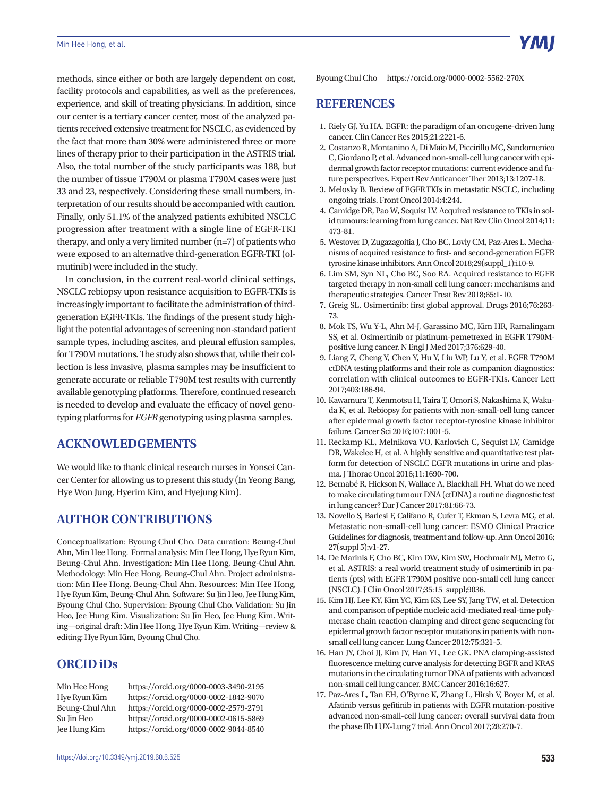methods, since either or both are largely dependent on cost, facility protocols and capabilities, as well as the preferences, experience, and skill of treating physicians. In addition, since our center is a tertiary cancer center, most of the analyzed patients received extensive treatment for NSCLC, as evidenced by the fact that more than 30% were administered three or more lines of therapy prior to their participation in the ASTRIS trial. Also, the total number of the study participants was 188, but the number of tissue T790M or plasma T790M cases were just 33 and 23, respectively. Considering these small numbers, interpretation of our results should be accompanied with caution. Finally, only 51.1% of the analyzed patients exhibited NSCLC progression after treatment with a single line of EGFR-TKI therapy, and only a very limited number (n=7) of patients who were exposed to an alternative third-generation EGFR-TKI (olmutinib) were included in the study.

In conclusion, in the current real-world clinical settings, NSCLC rebiopsy upon resistance acquisition to EGFR-TKIs is increasingly important to facilitate the administration of thirdgeneration EGFR-TKIs. The findings of the present study highlight the potential advantages of screening non-standard patient sample types, including ascites, and pleural effusion samples, for T790M mutations. The study also shows that, while their collection is less invasive, plasma samples may be insufficient to generate accurate or reliable T790M test results with currently available genotyping platforms. Therefore, continued research is needed to develop and evaluate the efficacy of novel genotyping platforms for *EGFR* genotyping using plasma samples.

# **ACKNOWLEDGEMENTS**

We would like to thank clinical research nurses in Yonsei Cancer Center for allowing us to present this study (In Yeong Bang, Hye Won Jung, Hyerim Kim, and Hyejung Kim).

# **AUTHOR CONTRIBUTIONS**

Conceptualization: Byoung Chul Cho. Data curation: Beung-Chul Ahn, Min Hee Hong. Formal analysis: Min Hee Hong, Hye Ryun Kim, Beung-Chul Ahn. Investigation: Min Hee Hong, Beung-Chul Ahn. Methodology: Min Hee Hong, Beung-Chul Ahn. Project administration: Min Hee Hong, Beung-Chul Ahn. Resources: Min Hee Hong, Hye Ryun Kim, Beung-Chul Ahn. Software: Su Jin Heo, Jee Hung Kim, Byoung Chul Cho. Supervision: Byoung Chul Cho. Validation: Su Jin Heo, Jee Hung Kim. Visualization: Su Jin Heo, Jee Hung Kim. Writing—original draft: Min Hee Hong, Hye Ryun Kim. Writing—review & editing: Hye Ryun Kim, Byoung Chul Cho.

# **ORCID iDs**

Min Hee Hong https://orcid.org/0000-0003-3490-2195 Hye Ryun Kim https://orcid.org/0000-0002-1842-9070 Beung-Chul Ahn https://orcid.org/0000-0002-2579-2791 Su Jin Heo https://orcid.org/0000-0002-0615-5869 Jee Hung Kim https://orcid.org/0000-0002-9044-8540

## **REFERENCES**

- 1. Riely GJ, Yu HA. EGFR: the paradigm of an oncogene-driven lung cancer. Clin Cancer Res 2015;21:2221-6.
- 2. Costanzo R, Montanino A, Di Maio M, Piccirillo MC, Sandomenico C, Giordano P, et al. Advanced non-small-cell lung cancer with epidermal growth factor receptor mutations: current evidence and future perspectives. Expert Rev Anticancer Ther 2013;13:1207-18.
- 3. Melosky B. Review of EGFRTKIs in metastatic NSCLC, including ongoing trials. Front Oncol 2014;4:244.
- 4. Camidge DR, Pao W, Sequist LV. Acquired resistance to TKIs in solid tumours: learning from lung cancer. Nat Rev Clin Oncol 2014;11: 473-81.
- 5. Westover D, Zugazagoitia J, Cho BC, Lovly CM, Paz-Ares L. Mechanisms of acquired resistance to first- and second-generation EGFR tyrosine kinase inhibitors. Ann Oncol 2018;29(suppl\_1):i10-9.
- 6. Lim SM, Syn NL, Cho BC, Soo RA. Acquired resistance to EGFR targeted therapy in non-small cell lung cancer: mechanisms and therapeutic strategies. Cancer Treat Rev 2018;65:1-10.
- 7. Greig SL. Osimertinib: first global approval. Drugs 2016;76:263- 73.
- 8. Mok TS, Wu Y-L, Ahn M-J, Garassino MC, Kim HR, Ramalingam SS, et al. Osimertinib or platinum-pemetrexed in EGFR T790Mpositive lung cancer. N Engl J Med 2017;376:629-40.
- 9. Liang Z, Cheng Y, Chen Y, Hu Y, Liu WP, Lu Y, et al. EGFR T790M ctDNA testing platforms and their role as companion diagnostics: correlation with clinical outcomes to EGFR-TKIs. Cancer Lett 2017;403:186-94.
- 10. Kawamura T, Kenmotsu H, Taira T, Omori S, Nakashima K, Wakuda K, et al. Rebiopsy for patients with non-small-cell lung cancer after epidermal growth factor receptor-tyrosine kinase inhibitor failure. Cancer Sci 2016;107:1001-5.
- 11. Reckamp KL, Melnikova VO, Karlovich C, Sequist LV, Camidge DR, Wakelee H, et al. A highly sensitive and quantitative test platform for detection of NSCLC EGFR mutations in urine and plasma. J Thorac Oncol 2016;11:1690-700.
- 12. Bernabé R, Hickson N, Wallace A, Blackhall FH. What do we need to make circulating tumour DNA (ctDNA) a routine diagnostic test in lung cancer? Eur J Cancer 2017;81:66-73.
- 13. Novello S, Barlesi F, Califano R, Cufer T, Ekman S, Levra MG, et al. Metastatic non-small-cell lung cancer: ESMO Clinical Practice Guidelines for diagnosis, treatment and follow-up. Ann Oncol 2016; 27(suppl 5):v1-27.
- 14. De Marinis F, Cho BC, Kim DW, Kim SW, Hochmair MJ, Metro G, et al. ASTRIS: a real world treatment study of osimertinib in patients (pts) with EGFR T790M positive non-small cell lung cancer (NSCLC). J Clin Oncol 2017;35:15\_suppl;9036.
- 15. Kim HJ, Lee KY, Kim YC, Kim KS, Lee SY, Jang TW, et al. Detection and comparison of peptide nucleic acid-mediated real-time polymerase chain reaction clamping and direct gene sequencing for epidermal growth factor receptor mutations in patients with nonsmall cell lung cancer. Lung Cancer 2012;75:321-5.
- 16. Han JY, Choi JJ, Kim JY, Han YL, Lee GK. PNA clamping-assisted fluorescence melting curve analysis for detecting EGFR and KRAS mutations in the circulating tumor DNA of patients with advanced non-small cell lung cancer. BMC Cancer 2016;16:627.
- 17. Paz-Ares L, Tan EH, O'Byrne K, Zhang L, Hirsh V, Boyer M, et al. Afatinib versus gefitinib in patients with EGFR mutation-positive advanced non-small-cell lung cancer: overall survival data from the phase IIb LUX-Lung 7 trial. Ann Oncol 2017;28:270-7.